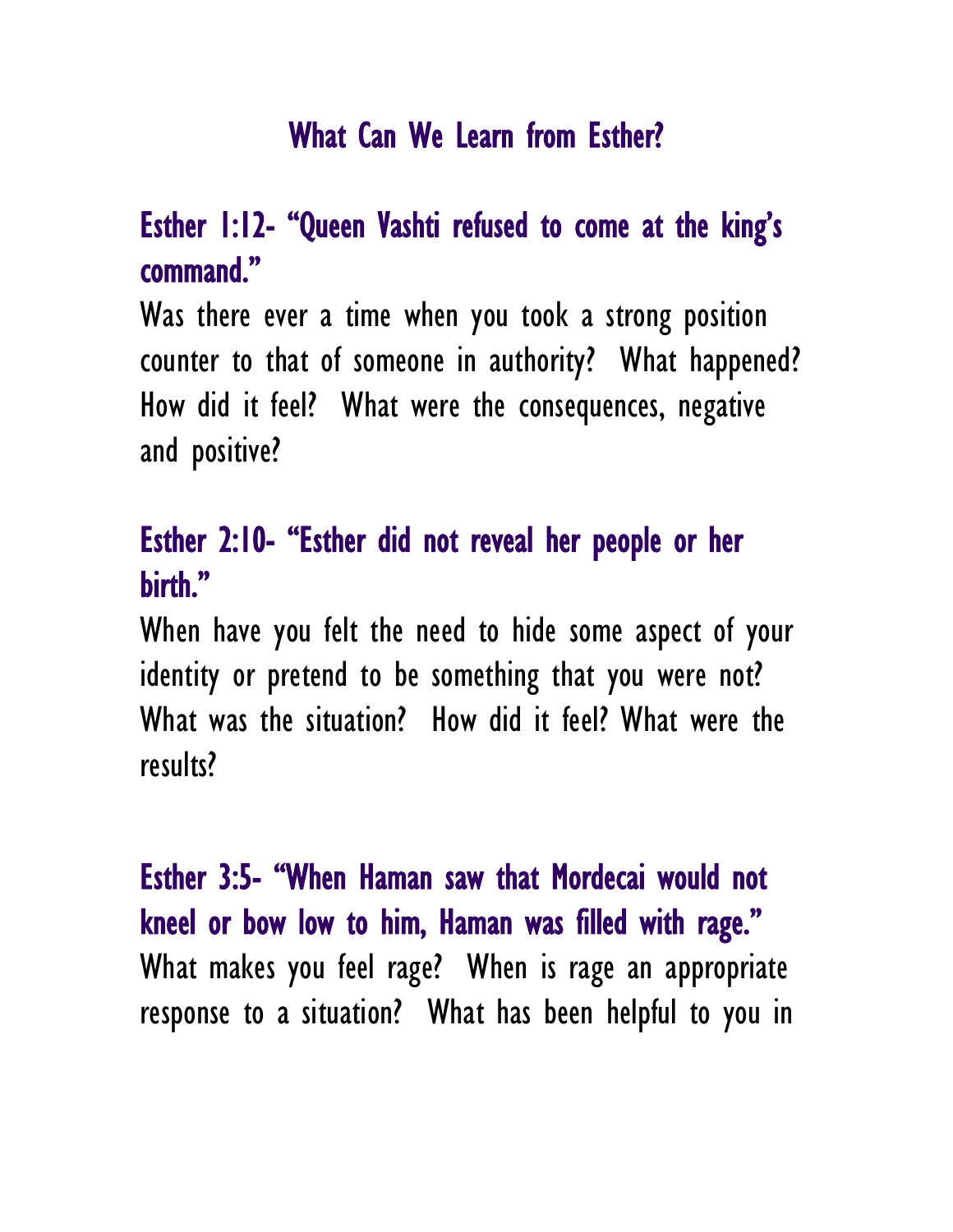## What Can We Learn from Esther?

## Esther 1:12- "Queen Vashti refused to come at the king's command."

Was there ever a time when you took a strong position counter to that of someone in authority? What happened? How did it feel? What were the consequences, negative and positive?

## Esther 2:10- "Esther did not reveal her people or her birth."

When have you felt the need to hide some aspect of your identity or pretend to be something that you were not? What was the situation? How did it feel? What were the results?

Esther 3:5- "When Haman saw that Mordecai would not kneel or bow low to him, Haman was filled with rage." What makes you feel rage? When is rage an appropriate response to a situation? What has been helpful to you in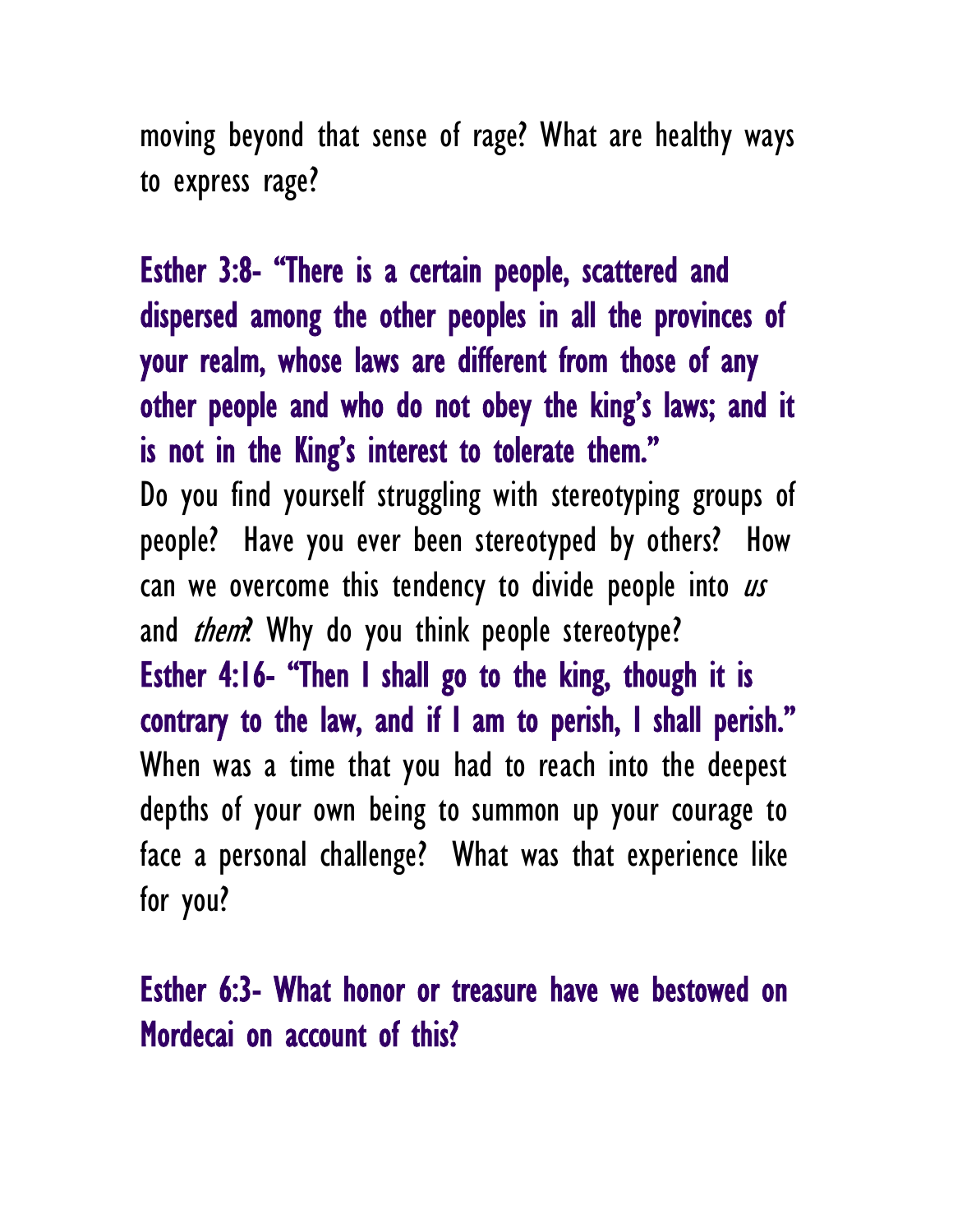moving beyond that sense of rage? What are healthy ways to express rage?

Esther 3:8- "There is a certain people, scattered and dispersed among the other peoples in all the provinces of your realm, whose laws are different from those of any other people and who do not obey the king's laws; and it is not in the King's interest to tolerate them." Do you find yourself struggling with stereotyping groups of people? Have you ever been stereotyped by others? How can we overcome this tendency to divide people into  $\mathbf{u}s$ and *them*? Why do you think people stereotype? Esther 4:16- "Then I shall go to the king, though it is contrary to the law, and if I am to perish, I shall perish." When was a time that you had to reach into the deepest depths of your own being to summon up your courage to face a personal challenge? What was that experience like for you?

Esther 6:3- What honor or treasure have we bestowed on Mordecai on account of this?